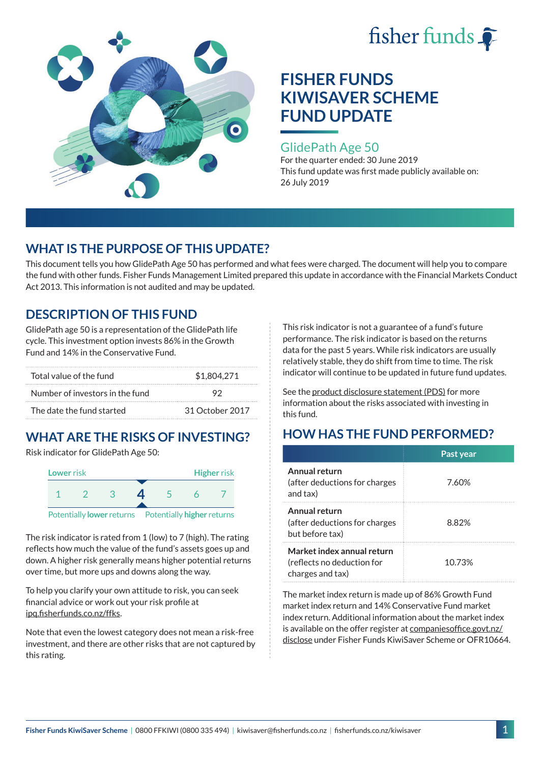



### GlidePath Age 50

For the quarter ended: 30 June 2019 This fund update was first made publicly available on: 26 July 2019

# **WHAT IS THE PURPOSE OF THIS UPDATE?**

This document tells you how GlidePath Age 50 has performed and what fees were charged. The document will help you to compare the fund with other funds. Fisher Funds Management Limited prepared this update in accordance with the Financial Markets Conduct Act 2013. This information is not audited and may be updated.

## **DESCRIPTION OF THIS FUND**

GlidePath age 50 is a representation of the GlidePath life cycle. This investment option invests 86% in the Growth Fund and 14% in the Conservative Fund.

| Total value of the fund         | \$1,804,271     |  |
|---------------------------------|-----------------|--|
| Number of investors in the fund |                 |  |
| The date the fund started       | 31 October 2017 |  |

# **WHAT ARE THE RISKS OF INVESTING?**

Risk indicator for GlidePath Age 50:



The risk indicator is rated from 1 (low) to 7 (high). The rating reflects how much the value of the fund's assets goes up and down. A higher risk generally means higher potential returns over time, but more ups and downs along the way.

To help you clarify your own attitude to risk, you can seek financial advice or work out your risk profile at [ipq.fisherfunds.co.nz/ffks](https://ipq.fisherfunds.co.nz/ffks).

Note that even the lowest category does not mean a risk-free investment, and there are other risks that are not captured by this rating.

This risk indicator is not a guarantee of a fund's future performance. The risk indicator is based on the returns data for the past 5 years. While risk indicators are usually relatively stable, they do shift from time to time. The risk indicator will continue to be updated in future fund updates.

See the [product disclosure statement \(PDS\)](https://fisherfunds.co.nz/assets/PDS/Fisher-Funds-KiwiSaver-Scheme-PDS.pdf) for more information about the risks associated with investing in this fund.

# **HOW HAS THE FUND PERFORMED?**

|                                                                              | Past year |
|------------------------------------------------------------------------------|-----------|
| Annual return<br>(after deductions for charges<br>and tax)                   | 7.60%     |
| Annual return<br>(after deductions for charges<br>but before tax)            | 8.82%     |
| Market index annual return<br>(reflects no deduction for<br>charges and tax) | 10.73%    |

The market index return is made up of 86% Growth Fund market index return and 14% Conservative Fund market index return. Additional information about the market index is available on the offer register at [companiesoffice.govt.nz/](http://companiesoffice.govt.nz/disclose) [disclose](http://companiesoffice.govt.nz/disclose) under Fisher Funds KiwiSaver Scheme or OFR10664.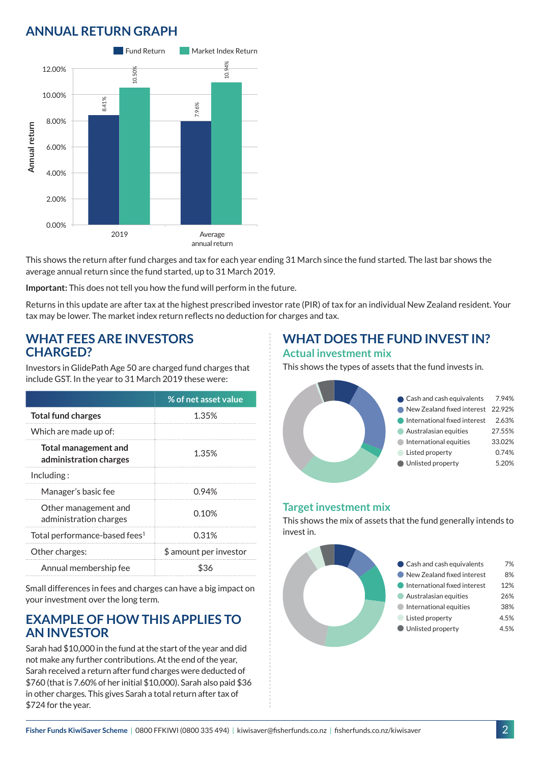# **ANNUAL RETURN GRAPH**



This shows the return after fund charges and tax for each year ending 31 March since the fund started. The last bar shows the average annual return since the fund started, up to 31 March 2019.

**Important:** This does not tell you how the fund will perform in the future.

Returns in this update are after tax at the highest prescribed investor rate (PIR) of tax for an individual New Zealand resident. Your tax may be lower. The market index return reflects no deduction for charges and tax.

#### **WHAT FEES ARE INVESTORS CHARGED?**

Investors in GlidePath Age 50 are charged fund charges that include GST. In the year to 31 March 2019 these were:

|                                                       | % of net asset value   |
|-------------------------------------------------------|------------------------|
| <b>Total fund charges</b>                             | 1.35%                  |
| Which are made up of:                                 |                        |
| <b>Total management and</b><br>administration charges | 1.35%                  |
| Including:                                            |                        |
| Manager's basic fee                                   | 0.94%                  |
| Other management and<br>administration charges        | 0.10%                  |
| Total performance-based fees <sup>1</sup>             | 0.31%                  |
| Other charges:                                        | \$ amount per investor |
| Annual membership fee                                 |                        |

Small differences in fees and charges can have a big impact on your investment over the long term.

#### **EXAMPLE OF HOW THIS APPLIES TO AN INVESTOR**

Sarah had \$10,000 in the fund at the start of the year and did not make any further contributions. At the end of the year, Sarah received a return after fund charges were deducted of \$760 (that is 7.60% of her initial \$10,000). Sarah also paid \$36 in other charges. This gives Sarah a total return after tax of \$724 for the year.

### **WHAT DOES THE FUND INVEST IN? Actual investment mix**

This shows the types of assets that the fund invests in.



#### **Target investment mix**

This shows the mix of assets that the fund generally intends to invest in.